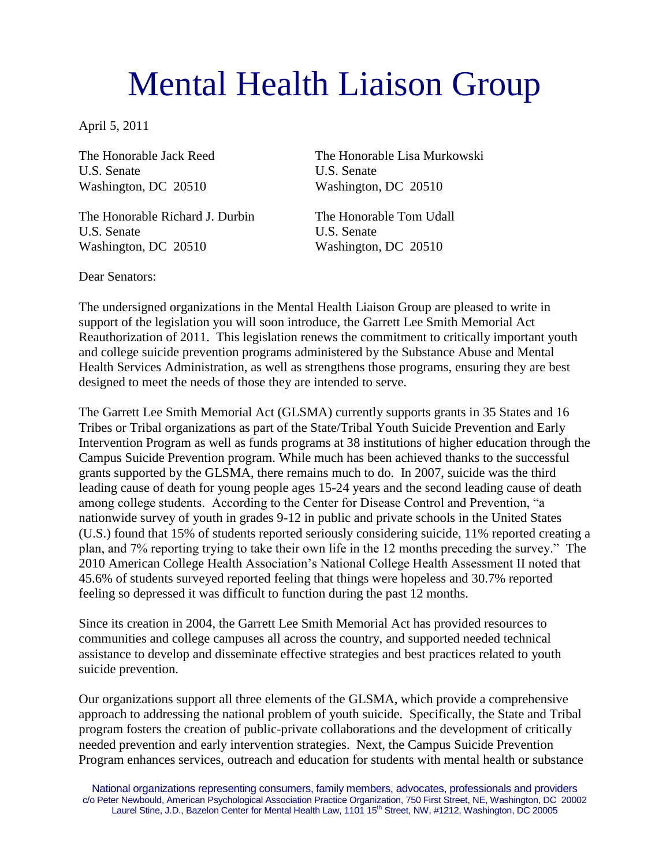## Mental Health Liaison Group

April 5, 2011

U.S. Senate U.S. Senate Washington, DC 20510 Washington, DC 20510

The Honorable Richard J. Durbin The Honorable Tom Udall U.S. Senate U.S. Senate Washington, DC 20510 Washington, DC 20510

The Honorable Jack Reed The Honorable Lisa Murkowski

Dear Senators:

The undersigned organizations in the Mental Health Liaison Group are pleased to write in support of the legislation you will soon introduce, the Garrett Lee Smith Memorial Act Reauthorization of 2011. This legislation renews the commitment to critically important youth and college suicide prevention programs administered by the Substance Abuse and Mental Health Services Administration, as well as strengthens those programs, ensuring they are best designed to meet the needs of those they are intended to serve.

The Garrett Lee Smith Memorial Act (GLSMA) currently supports grants in 35 States and 16 Tribes or Tribal organizations as part of the State/Tribal Youth Suicide Prevention and Early Intervention Program as well as funds programs at 38 institutions of higher education through the Campus Suicide Prevention program. While much has been achieved thanks to the successful grants supported by the GLSMA, there remains much to do. In 2007, suicide was the third leading cause of death for young people ages 15-24 years and the second leading cause of death among college students. According to the Center for Disease Control and Prevention, "a nationwide survey of youth in grades 9-12 in public and private schools in the United States (U.S.) found that 15% of students reported seriously considering suicide, 11% reported creating a plan, and 7% reporting trying to take their own life in the 12 months preceding the survey." The 2010 American College Health Association's National College Health Assessment II noted that 45.6% of students surveyed reported feeling that things were hopeless and 30.7% reported feeling so depressed it was difficult to function during the past 12 months.

Since its creation in 2004, the Garrett Lee Smith Memorial Act has provided resources to communities and college campuses all across the country, and supported needed technical assistance to develop and disseminate effective strategies and best practices related to youth suicide prevention.

Our organizations support all three elements of the GLSMA, which provide a comprehensive approach to addressing the national problem of youth suicide. Specifically, the State and Tribal program fosters the creation of public-private collaborations and the development of critically needed prevention and early intervention strategies. Next, the Campus Suicide Prevention Program enhances services, outreach and education for students with mental health or substance

National organizations representing consumers, family members, advocates, professionals and providers c/o Peter Newbould, American Psychological Association Practice Organization, 750 First Street, NE, Washington, DC 20002 Laurel Stine, J.D., Bazelon Center for Mental Health Law, 1101 15<sup>th</sup> Street, NW, #1212, Washington, DC 20005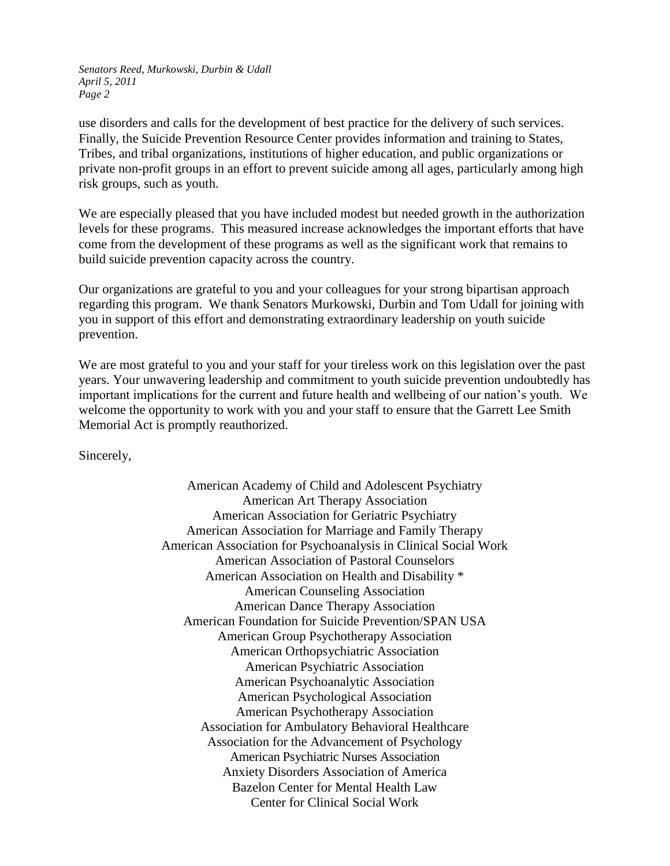*Senators Reed, Murkowski, Durbin & Udall April 5, 2011 Page 2*

use disorders and calls for the development of best practice for the delivery of such services. Finally, the Suicide Prevention Resource Center provides information and training to States, Tribes, and tribal organizations, institutions of higher education, and public organizations or private non-profit groups in an effort to prevent suicide among all ages, particularly among high risk groups, such as youth.

We are especially pleased that you have included modest but needed growth in the authorization levels for these programs. This measured increase acknowledges the important efforts that have come from the development of these programs as well as the significant work that remains to build suicide prevention capacity across the country.

Our organizations are grateful to you and your colleagues for your strong bipartisan approach regarding this program. We thank Senators Murkowski, Durbin and Tom Udall for joining with you in support of this effort and demonstrating extraordinary leadership on youth suicide prevention.

We are most grateful to you and your staff for your tireless work on this legislation over the past years. Your unwavering leadership and commitment to youth suicide prevention undoubtedly has important implications for the current and future health and wellbeing of our nation's youth. We welcome the opportunity to work with you and your staff to ensure that the Garrett Lee Smith Memorial Act is promptly reauthorized.

Sincerely,

American Academy of Child and Adolescent Psychiatry American Art Therapy Association American Association for Geriatric Psychiatry American Association for Marriage and Family Therapy American Association for Psychoanalysis in Clinical Social Work American Association of Pastoral Counselors American Association on Health and Disability \* American Counseling Association American Dance Therapy Association American Foundation for Suicide Prevention/SPAN USA American Group Psychotherapy Association American Orthopsychiatric Association American Psychiatric Association American Psychoanalytic Association American Psychological Association American Psychotherapy Association Association for Ambulatory Behavioral Healthcare Association for the Advancement of Psychology American Psychiatric Nurses Association Anxiety Disorders Association of America Bazelon Center for Mental Health Law Center for Clinical Social Work